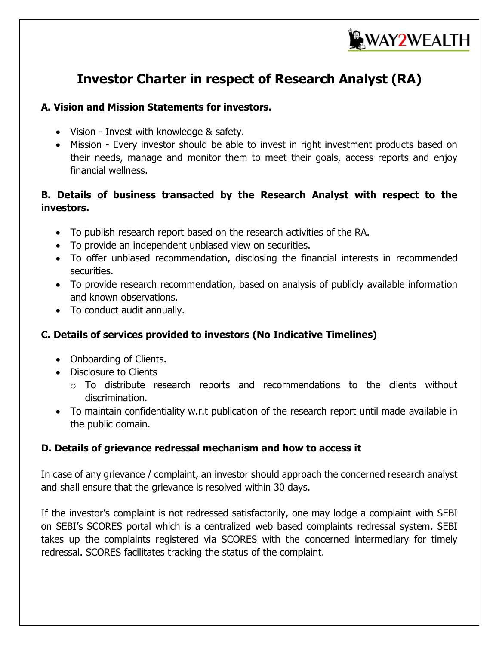

# **Investor Charter in respect of Research Analyst (RA)**

#### **A. Vision and Mission Statements for investors.**

- Vision Invest with knowledge & safety.
- Mission Every investor should be able to invest in right investment products based on their needs, manage and monitor them to meet their goals, access reports and enjoy financial wellness.

### **B. Details of business transacted by the Research Analyst with respect to the investors.**

- To publish research report based on the research activities of the RA.
- To provide an independent unbiased view on securities.
- To offer unbiased recommendation, disclosing the financial interests in recommended securities.
- To provide research recommendation, based on analysis of publicly available information and known observations.
- To conduct audit annually.

## **C. Details of services provided to investors (No Indicative Timelines)**

- Onboarding of Clients.
- Disclosure to Clients
	- o To distribute research reports and recommendations to the clients without discrimination.
- To maintain confidentiality w.r.t publication of the research report until made available in the public domain.

#### **D. Details of grievance redressal mechanism and how to access it**

In case of any grievance / complaint, an investor should approach the concerned research analyst and shall ensure that the grievance is resolved within 30 days.

If the investor's complaint is not redressed satisfactorily, one may lodge a complaint with SEBI on SEBI's SCORES portal which is a centralized web based complaints redressal system. SEBI takes up the complaints registered via SCORES with the concerned intermediary for timely redressal. SCORES facilitates tracking the status of the complaint.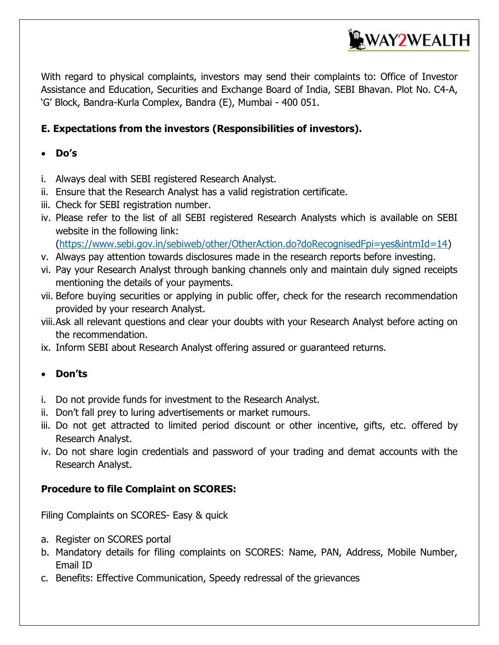

With regard to physical complaints, investors may send their complaints to: Office of Investor Assistance and Education, Securities and Exchange Board of India, SEBI Bhavan. Plot No. C4-A, 'G' Block, Bandra-Kurla Complex, Bandra (E), Mumbai - 400 051.

### **E. Expectations from the investors (Responsibilities of investors).**

### **Do's**

- i. Always deal with SEBI registered Research Analyst.
- ii. Ensure that the Research Analyst has a valid registration certificate.
- iii. Check for SEBI registration number.
- iv. Please refer to the list of all SEBI registered Research Analysts which is available on SEBI website in the following link:

[\(https://www.sebi.gov.in/sebiweb/other/OtherAction.do?doRecognisedFpi=yes&intmId=14\)](https://www.sebi.gov.in/sebiweb/other/OtherAction.do?doRecognisedFpi=yes&intmId=14)

- v. Always pay attention towards disclosures made in the research reports before investing.
- vi. Pay your Research Analyst through banking channels only and maintain duly signed receipts mentioning the details of your payments.
- vii. Before buying securities or applying in public offer, check for the research recommendation provided by your research Analyst.
- viii.Ask all relevant questions and clear your doubts with your Research Analyst before acting on the recommendation.
- ix. Inform SEBI about Research Analyst offering assured or guaranteed returns.

#### **Don'ts**

- i. Do not provide funds for investment to the Research Analyst.
- ii. Don't fall prey to luring advertisements or market rumours.
- iii. Do not get attracted to limited period discount or other incentive, gifts, etc. offered by Research Analyst.
- iv. Do not share login credentials and password of your trading and demat accounts with the Research Analyst.

#### **Procedure to file Complaint on SCORES:**

Filing Complaints on SCORES- Easy & quick

- a. Register on SCORES portal
- b. Mandatory details for filing complaints on SCORES: Name, PAN, Address, Mobile Number, Email ID
- c. Benefits: Effective Communication, Speedy redressal of the grievances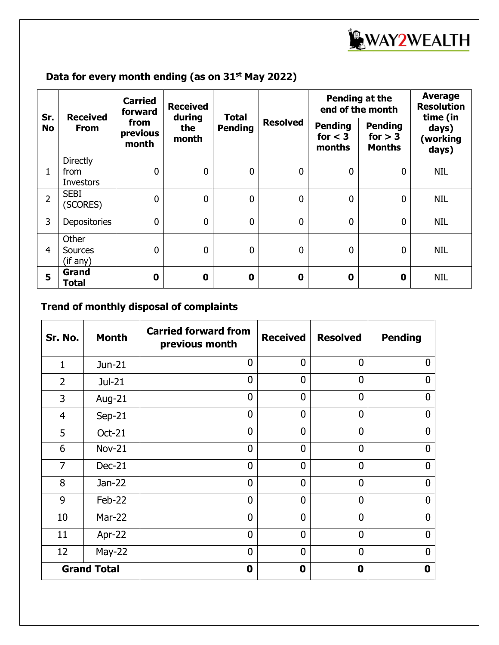

# **Data for every month ending (as on 31st May 2022)**

| Sr.<br><b>No</b> | <b>Received</b><br><b>From</b>              | <b>Carried</b><br>forward<br>from<br>previous<br>month | <b>Received</b><br>during<br>the<br>month | <b>Total</b><br><b>Pending</b> | <b>Resolved</b> | Pending at the<br>end of the month    |                                              | <b>Average</b><br><b>Resolution</b><br>time (in |
|------------------|---------------------------------------------|--------------------------------------------------------|-------------------------------------------|--------------------------------|-----------------|---------------------------------------|----------------------------------------------|-------------------------------------------------|
|                  |                                             |                                                        |                                           |                                |                 | <b>Pending</b><br>for $<$ 3<br>months | <b>Pending</b><br>for $> 3$<br><b>Months</b> | days)<br>(working<br>days)                      |
| 1                | <b>Directly</b><br>from<br><b>Investors</b> | 0                                                      | $\mathbf 0$                               | $\mathbf 0$                    | $\overline{0}$  | $\mathbf 0$                           | $\mathbf 0$                                  | <b>NIL</b>                                      |
| $\overline{2}$   | <b>SEBI</b><br>(SCORES)                     | $\mathbf 0$                                            | $\mathbf 0$                               | $\mathbf 0$                    | $\mathbf 0$     | $\mathbf 0$                           | $\mathbf 0$                                  | <b>NIL</b>                                      |
| 3                | Depositories                                | $\mathbf 0$                                            | $\mathbf 0$                               | $\mathbf 0$                    | $\overline{0}$  | $\mathbf{0}$                          | $\mathbf 0$                                  | NIL                                             |
| $\overline{4}$   | Other<br><b>Sources</b><br>(if any)         | 0                                                      | $\mathbf{0}$                              | $\mathbf{0}$                   | $\overline{0}$  | $\mathbf{0}$                          | $\mathbf 0$                                  | <b>NIL</b>                                      |
| 5                | Grand<br>Total                              | $\bf{0}$                                               | $\mathbf 0$                               | $\mathbf 0$                    | 0               | 0                                     | 0                                            | <b>NIL</b>                                      |

# **Trend of monthly disposal of complaints**

| <b>Month</b><br>Sr. No. |               | <b>Carried forward from</b><br>previous month | <b>Received</b> | <b>Resolved</b> | <b>Pending</b> |
|-------------------------|---------------|-----------------------------------------------|-----------------|-----------------|----------------|
| $\mathbf{1}$            | Jun-21        | $\overline{0}$                                | $\overline{0}$  | $\overline{0}$  | $\mathbf{0}$   |
| $\overline{2}$          | Jul-21        | $\overline{0}$                                | $\overline{0}$  | $\overline{0}$  | 0              |
| 3                       | Aug-21        | $\overline{0}$                                | $\overline{0}$  | $\overline{0}$  | $\mathbf 0$    |
| $\overline{4}$          | $Sep-21$      | 0                                             | $\overline{0}$  | $\overline{0}$  | $\Omega$       |
| 5                       | <b>Oct-21</b> | $\overline{0}$                                | $\overline{0}$  | $\overline{0}$  | $\overline{0}$ |
| 6                       | <b>Nov-21</b> | $\overline{0}$                                | $\overline{0}$  | $\overline{0}$  | $\Omega$       |
| $\overline{7}$          | $Dec-21$      | $\overline{0}$                                | $\overline{0}$  | $\overline{0}$  | $\overline{0}$ |
| 8                       | Jan-22        | $\overline{0}$                                | $\overline{0}$  | $\overline{0}$  | $\Omega$       |
| 9                       | Feb-22        | $\overline{0}$                                | $\overline{0}$  | $\overline{0}$  | $\Omega$       |
| 10                      | <b>Mar-22</b> | 0                                             | $\overline{0}$  | $\overline{0}$  | $\Omega$       |
| 11                      | Apr-22        | $\overline{0}$                                | $\overline{0}$  | $\overline{0}$  | $\mathbf{0}$   |
| 12                      | $May-22$      | 0                                             | $\overline{0}$  | $\mathbf{0}$    | 0              |
| <b>Grand Total</b>      |               | $\mathbf 0$                                   | $\mathbf 0$     | 0               | 0              |